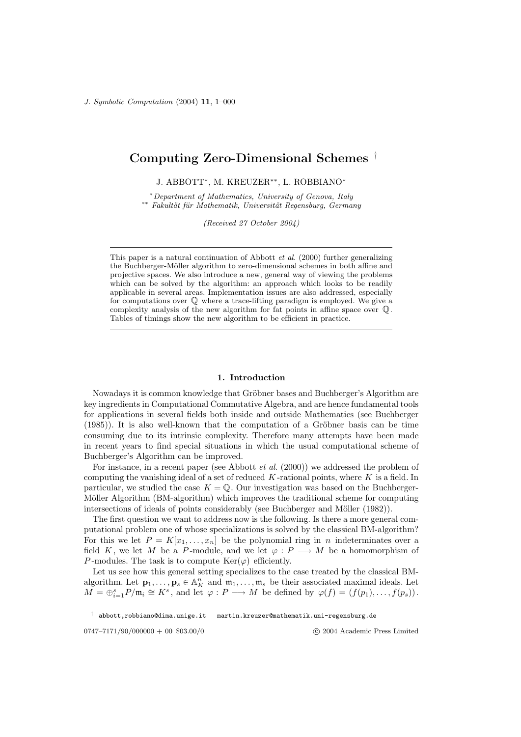# Computing Zero-Dimensional Schemes †

J. ABBOTT<sup>∗</sup> , M. KREUZER∗∗, L. ROBBIANO<sup>∗</sup>

<sup>∗</sup>Department of Mathematics, University of Genova, Italy  $*∗$  Fakultät für Mathematik, Universität Regensburg, Germany

(Received 27 October 2004)

#### 1. Introduction

Nowadays it is common knowledge that Gröbner bases and Buchberger's Algorithm are key ingredients in Computational Commutative Algebra, and are hence fundamental tools for applications in several fields both inside and outside Mathematics (see Buchberger  $(1985)$ ). It is also well-known that the computation of a Gröbner basis can be time consuming due to its intrinsic complexity. Therefore many attempts have been made in recent years to find special situations in which the usual computational scheme of Buchberger's Algorithm can be improved.

For instance, in a recent paper (see Abbott *et al.* (2000)) we addressed the problem of computing the vanishing ideal of a set of reduced  $K$ -rational points, where  $K$  is a field. In particular, we studied the case  $K = \mathbb{Q}$ . Our investigation was based on the Buchberger-Möller Algorithm (BM-algorithm) which improves the traditional scheme for computing intersections of ideals of points considerably (see Buchberger and Möller  $(1982)$ ).

The first question we want to address now is the following. Is there a more general computational problem one of whose specializations is solved by the classical BM-algorithm? For this we let  $P = K[x_1, \ldots, x_n]$  be the polynomial ring in n indeterminates over a field K, we let M be a P-module, and we let  $\varphi : P \longrightarrow M$  be a homomorphism of P-modules. The task is to compute  $\text{Ker}(\varphi)$  efficiently.

Let us see how this general setting specializes to the case treated by the classical BMalgorithm. Let  $\mathbf{p}_1, \ldots, \mathbf{p}_s \in \mathbb{A}^n$  and  $\mathfrak{m}_1, \ldots, \mathfrak{m}_s$  be their associated maximal ideals. Let  $\overline{M} = \bigoplus_{i=1}^s P/\mathfrak{m}_i \cong K^s$ , and let  $\varphi : P \longrightarrow M$  be defined by  $\varphi(f) = (f(p_1), \ldots, f(p_s)).$ 

 $^\dagger$ abbott,robbiano@dima.unige.it martin.kreuzer@mathematik.uni-regensburg.de

0747–7171/90/000000 + 00 \$03.00/0

This paper is a natural continuation of Abbott et al. (2000) further generalizing the Buchberger-Möller algorithm to zero-dimensional schemes in both affine and projective spaces. We also introduce a new, general way of viewing the problems which can be solved by the algorithm: an approach which looks to be readily applicable in several areas. Implementation issues are also addressed, especially for computations over Q where a trace-lifting paradigm is employed. We give a complexity analysis of the new algorithm for fat points in affine space over Q. Tables of timings show the new algorithm to be efficient in practice.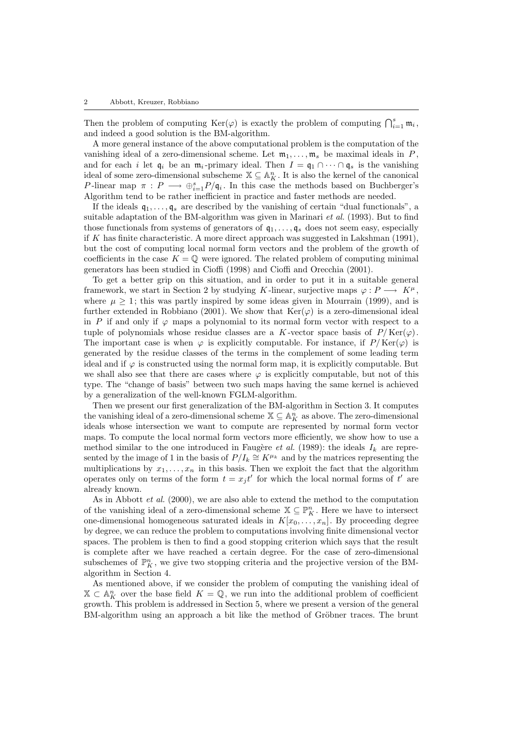Then the problem of computing  $\text{Ker}(\varphi)$  is exactly the problem of computing  $\bigcap_{i=1}^s \mathfrak{m}_i$ , and indeed a good solution is the BM-algorithm.

A more general instance of the above computational problem is the computation of the vanishing ideal of a zero-dimensional scheme. Let  $m_1, \ldots, m_s$  be maximal ideals in P, and for each i let  $\mathfrak{q}_i$  be an  $\mathfrak{m}_i$ -primary ideal. Then  $I = \mathfrak{q}_1 \cap \cdots \cap \mathfrak{q}_s$  is the vanishing ideal of some zero-dimensional subscheme  $\mathbb{X} \subseteq \mathbb{A}_{K}^{n}$ . It is also the kernel of the canonical P-linear map  $\pi: P \longrightarrow \bigoplus_{i=1}^s P/\mathfrak{q}_i$ . In this case the methods based on Buchberger's Algorithm tend to be rather inefficient in practice and faster methods are needed.

If the ideals  $\mathfrak{q}_1, \ldots, \mathfrak{q}_s$  are described by the vanishing of certain "dual functionals", a suitable adaptation of the BM-algorithm was given in Marinari et al. (1993). But to find those functionals from systems of generators of  $q_1, \ldots, q_s$  does not seem easy, especially if K has finite characteristic. A more direct approach was suggested in Lakshman  $(1991)$ , but the cost of computing local normal form vectors and the problem of the growth of coefficients in the case  $K = \mathbb{Q}$  were ignored. The related problem of computing minimal generators has been studied in Cioffi (1998) and Cioffi and Orecchia (2001).

To get a better grip on this situation, and in order to put it in a suitable general framework, we start in Section 2 by studying K-linear, surjective maps  $\varphi: P \longrightarrow K^{\mu}$ , where  $\mu \geq 1$ ; this was partly inspired by some ideas given in Mourrain (1999), and is further extended in Robbiano (2001). We show that  $\text{Ker}(\varphi)$  is a zero-dimensional ideal in P if and only if  $\varphi$  maps a polynomial to its normal form vector with respect to a tuple of polynomials whose residue classes are a K-vector space basis of  $P/\mathrm{Ker}(\varphi)$ . The important case is when  $\varphi$  is explicitly computable. For instance, if  $P/Ker(\varphi)$  is generated by the residue classes of the terms in the complement of some leading term ideal and if  $\varphi$  is constructed using the normal form map, it is explicitly computable. But we shall also see that there are cases where  $\varphi$  is explicitly computable, but not of this type. The "change of basis" between two such maps having the same kernel is achieved by a generalization of the well-known FGLM-algorithm.

Then we present our first generalization of the BM-algorithm in Section 3. It computes the vanishing ideal of a zero-dimensional scheme  $\mathbb{X} \subseteq \mathbb{A}^n$  as above. The zero-dimensional ideals whose intersection we want to compute are represented by normal form vector maps. To compute the local normal form vectors more efficiently, we show how to use a method similar to the one introduced in Faugère *et al.* (1989): the ideals  $I_k$  are represented by the image of 1 in the basis of  $P/I_k \cong K^{\mu_k}$  and by the matrices representing the multiplications by  $x_1, \ldots, x_n$  in this basis. Then we exploit the fact that the algorithm operates only on terms of the form  $t = x_j t'$  for which the local normal forms of  $t'$  are already known.

As in Abbott et al. (2000), we are also able to extend the method to the computation of the vanishing ideal of a zero-dimensional scheme  $\mathbb{X} \subseteq \mathbb{P}_{K}^{n}$ . Here we have to intersect one-dimensional homogeneous saturated ideals in  $K[x_0, \ldots, x_n]$ . By proceeding degree by degree, we can reduce the problem to computations involving finite dimensional vector spaces. The problem is then to find a good stopping criterion which says that the result is complete after we have reached a certain degree. For the case of zero-dimensional subschemes of  $\mathbb{P}^n$ , we give two stopping criteria and the projective version of the BMalgorithm in Section 4.

As mentioned above, if we consider the problem of computing the vanishing ideal of  $\mathbb{X} \subset \mathbb{A}^n$  over the base field  $K = \mathbb{Q}$ , we run into the additional problem of coefficient growth. This problem is addressed in Section 5, where we present a version of the general BM-algorithm using an approach a bit like the method of Gröbner traces. The brunt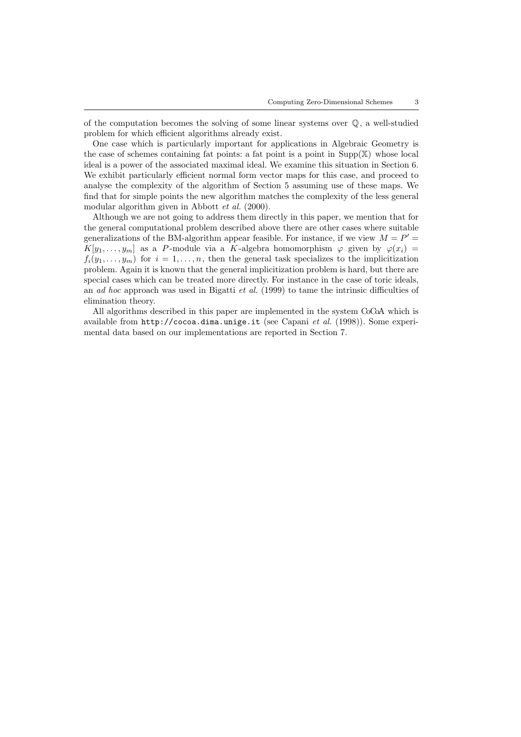of the computation becomes the solving of some linear systems over Q, a well-studied problem for which efficient algorithms already exist.

One case which is particularly important for applications in Algebraic Geometry is the case of schemes containing fat points: a fat point is a point in  $\text{Supp}(\mathbb{X})$  whose local ideal is a power of the associated maximal ideal. We examine this situation in Section 6. We exhibit particularly efficient normal form vector maps for this case, and proceed to analyse the complexity of the algorithm of Section 5 assuming use of these maps. We find that for simple points the new algorithm matches the complexity of the less general modular algorithm given in Abbott et al. (2000).

Although we are not going to address them directly in this paper, we mention that for the general computational problem described above there are other cases where suitable generalizations of the BM-algorithm appear feasible. For instance, if we view  $M = P'$  $K[y_1, \ldots, y_m]$  as a P-module via a K-algebra homomorphism  $\varphi$  given by  $\varphi(x_i)$  =  $f_i(y_1,\ldots,y_m)$  for  $i=1,\ldots,n$ , then the general task specializes to the implicitization problem. Again it is known that the general implicitization problem is hard, but there are special cases which can be treated more directly. For instance in the case of toric ideals, an ad hoc approach was used in Bigatti et al.  $(1999)$  to tame the intrinsic difficulties of elimination theory.

All algorithms described in this paper are implemented in the system CoCoA which is available from http://cocoa.dima.unige.it (see Capani et al. (1998)). Some experimental data based on our implementations are reported in Section 7.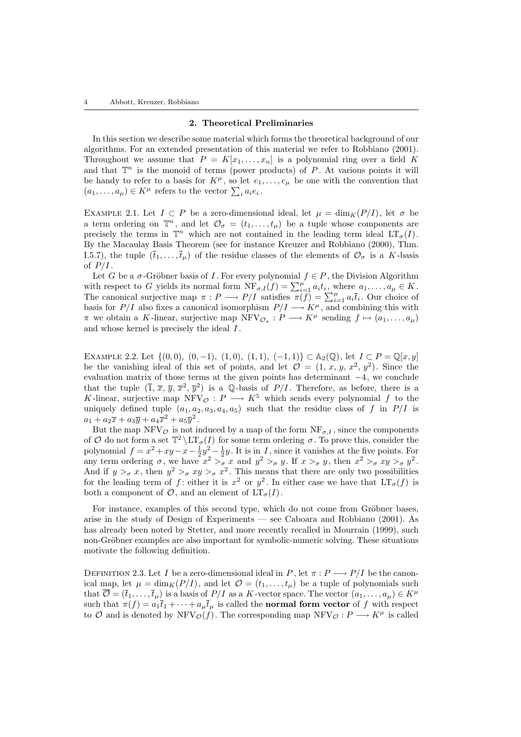#### 2. Theoretical Preliminaries

In this section we describe some material which forms the theoretical background of our algorithms. For an extended presentation of this material we refer to Robbiano (2001). Throughout we assume that  $P = K[x_1, \ldots, x_n]$  is a polynomial ring over a field K and that  $\mathbb{T}^n$  is the monoid of terms (power products) of P. At various points it will be handy to refer to a basis for  $K^{\mu}$ , so let  $e_1, \ldots, e_{\mu}$  be one with the convention that  $(a_1, \ldots, a_\mu) \in K^\mu$  refers to the vector  $\sum_i a_i e_i$ .

EXAMPLE 2.1. Let  $I \subset P$  be a zero-dimensional ideal, let  $\mu = \dim_K(P/I)$ , let  $\sigma$  be a term ordering on  $\mathbb{T}^n$ , and let  $\mathcal{O}_{\sigma} = (t_1, \ldots, t_{\mu})$  be a tuple whose components are precisely the terms in  $\mathbb{T}^n$  which are not contained in the leading term ideal  $LT_{\sigma}(I)$ . By the Macaulay Basis Theorem (see for instance Kreuzer and Robbiano (2000), Thm. I.5.7), the tuple  $(\bar{t}_1,\ldots,\bar{t}_{\mu})$  of the residue classes of the elements of  $\mathcal{O}_{\sigma}$  is a K-basis of  $P/I$ .

Let G be a  $\sigma$ -Gröbner basis of I. For every polynomial  $f \in P$ , the Division Algorithm with respect to G yields its normal form  $\overline{\text{NF}}_{\sigma,I}(f) = \sum_{i=1}^{\mu} a_i t_i$ , where  $a_1, \ldots, a_{\mu} \in K$ . The canonical surjective map  $\pi: P \longrightarrow P/I$  satisfies  $\pi(f) = \sum_{i=1}^{\mu} a_i \overline{t}_i$ . Our choice of basis for  $P/I$  also fixes a canonical isomorphism  $P/I \longrightarrow K^{\mu}$ , and combining this with  $\pi$  we obtain a K-linear, surjective map NFV $\mathcal{O}_{\sigma}: P \longrightarrow K^{\mu}$  sending  $f \mapsto (a_1, \ldots, a_{\mu})$ and whose kernel is precisely the ideal  $I$ .

EXAMPLE 2.2. Let  $\{(0,0), (0,-1), (1,0), (1,1), (-1,1)\}\subset \mathbb{A}_2(\mathbb{Q})$ , let  $I\subset P=\mathbb{Q}[x,y]$ be the vanishing ideal of this set of points, and let  $\mathcal{O} = (1, x, y, x^2, y^2)$ . Since the evaluation matrix of those terms at the given points has determinant −4, we conclude that the tuple  $(\overline{1}, \overline{x}, \overline{y}, \overline{x}^2, \overline{y}^2)$  is a Q-basis of  $P/I$ . Therefore, as before, there is a K-linear, surjective map NFV<sub> $\mathcal{O}: P \longrightarrow K^5$  which sends every polynomial f to the</sub> uniquely defined tuple  $(a_1, a_2, a_3, a_4, a_5)$  such that the residue class of f in  $P/I$  is  $a_1 + a_2 \overline{x} + a_3 \overline{y} + a_4 \overline{x}^2 + a_5 \overline{y}^2$ .

But the map NFV $\circ$  is not induced by a map of the form NF $_{\sigma,I}$ , since the components of O do not form a set  $\mathbb{T}^2 \setminus \mathrm{LT}_{\sigma}(I)$  for some term ordering  $\sigma$ . To prove this, consider the polynomial  $f = x^2 + xy - x - \frac{1}{2}y^2 - \frac{1}{2}y$ . It is in I, since it vanishes at the five points. For any term ordering  $\sigma$ , we have  $x^2 >_\sigma x$  and  $y^2 >_\sigma y$ . If  $x >_\sigma y$ , then  $x^2 >_\sigma xy >_\sigma y^2$ . And if  $y >_{\sigma} x$ , then  $y^2 >_{\sigma} xy >_{\sigma} x^2$ . This means that there are only two possibilities for the leading term of f: either it is  $x^2$  or  $y^2$ . In either case we have that  $LT_{\sigma}(f)$  is both a component of  $\mathcal{O}$ , and an element of  $LT_{\sigma}(I)$ .

For instance, examples of this second type, which do not come from Gröbner bases, arise in the study of Design of Experiments — see Caboara and Robbiano (2001). As has already been noted by Stetter, and more recently recalled in Mourrain (1999), such non-Gröbner examples are also important for symbolic-numeric solving. These situations motivate the following definition.

DEFINITION 2.3. Let I be a zero-dimensional ideal in P, let  $\pi : P \longrightarrow P/I$  be the canonical map, let  $\mu = \dim_K(P/I)$ , and let  $\mathcal{O} = (t_1, \ldots, t_\mu)$  be a tuple of polynomials such that  $\overline{\mathcal{O}} = (\overline{t}_1, \ldots, \overline{t}_\mu)$  is a basis of  $P/I$  as a K-vector space. The vector  $(a_1, \ldots, a_\mu) \in K^\mu$ such that  $\pi(f) = a_1\bar{t}_1 + \cdots + a_\mu\bar{t}_\mu$  is called the **normal form vector** of f with respect to  $\mathcal O$  and is denoted by NFV<sub> $\mathcal O(f)$ </sub>. The corresponding map NFV<sub> $\mathcal O: P \longrightarrow K^\mu$  is called</sub>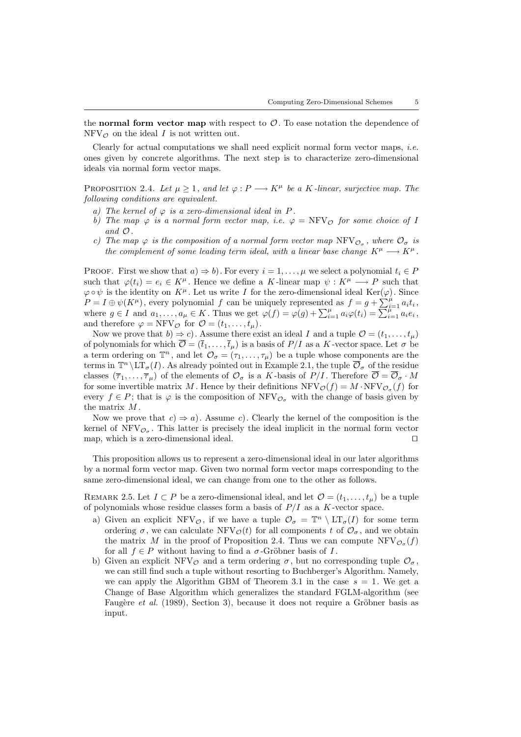the normal form vector map with respect to  $\mathcal{O}$ . To ease notation the dependence of  $NFV_{\mathcal{O}}$  on the ideal I is not written out.

Clearly for actual computations we shall need explicit normal form vector maps, i.e. ones given by concrete algorithms. The next step is to characterize zero-dimensional ideals via normal form vector maps.

PROPOSITION 2.4. Let  $\mu \geq 1$ , and let  $\varphi : P \longrightarrow K^{\mu}$  be a K-linear, surjective map. The following conditions are equivalent.

- a) The kernel of  $\varphi$  is a zero-dimensional ideal in P.
- b) The map  $\varphi$  is a normal form vector map, i.e.  $\varphi = \text{NFV}_\mathcal{O}$  for some choice of I and O.
- c) The map  $\varphi$  is the composition of a normal form vector map NFV $\varphi_{\sigma}$ , where  $\mathcal{O}_{\sigma}$  is the complement of some leading term ideal, with a linear base change  $K^{\mu} \longrightarrow K^{\mu}$ .

PROOF. First we show that  $a) \Rightarrow b$ . For every  $i = 1, ..., \mu$  we select a polynomial  $t_i \in P$ such that  $\varphi(t_i) = e_i \in K^{\mu}$ . Hence we define a K-linear map  $\psi : K^{\mu} \longrightarrow P$  such that  $\varphi \circ \psi$  is the identity on  $K^{\mu}$ . Let us write I for the zero-dimensional ideal Ker( $\varphi$ ). Since  $P = I \oplus \psi(K^{\mu})$ , every polynomial f can be uniquely represented as  $f = g + \sum_{i=1}^{\mu} a_i t_i$ , where  $g \in I$  and  $a_1, \ldots, a_\mu \in K$ . Thus we get  $\varphi(f) = \varphi(g) + \sum_{i=1}^\mu a_i \varphi(t_i) = \sum_{i=1}^{\mu-1} a_i e_i$ , and therefore  $\varphi = \text{NFV}_{\mathcal{O}}$  for  $\mathcal{O} = (t_1, \ldots, t_u)$ .

Now we prove that  $b) \Rightarrow c$ . Assume there exist an ideal I and a tuple  $\mathcal{O} = (t_1, \ldots, t_u)$ of polynomials for which  $\overline{\mathcal{O}} = (\overline{t}_1, \ldots, \overline{t}_\mu)$  is a basis of  $P/I$  as a K-vector space. Let  $\sigma$  be a term ordering on  $\mathbb{T}^n$ , and let  $\mathcal{O}_{\sigma} = (\tau_1, \ldots, \tau_{\mu})$  be a tuple whose components are the terms in  $\mathbb{T}^n \setminus \overline{\mathrm{LT}}_{\sigma}(I)$ . As already pointed out in Example 2.1, the tuple  $\overline{\mathcal{O}}_{\sigma}$  of the residue classes  $(\overline{\tau}_1,\ldots,\overline{\tau}_\mu)$  of the elements of  $\mathcal{O}_{\sigma}$  is a K-basis of  $P/I$ . Therefore  $\overline{\mathcal{O}} = \overline{\mathcal{O}}_{\sigma} \cdot M$ for some invertible matrix M. Hence by their definitions  $\text{NFV}_{\mathcal{O}}(f) = M \cdot \text{NFV}_{\mathcal{O}_{\sigma}}(f)$  for every  $f \in P$ ; that is  $\varphi$  is the composition of NFV<sub> $\mathcal{O}_{\sigma}$ </sub> with the change of basis given by the matrix M .

Now we prove that  $c \Rightarrow a$ . Assume c). Clearly the kernel of the composition is the kernel of  $\text{NFV}_{\mathcal{O}_{\sigma}}$ . This latter is precisely the ideal implicit in the normal form vector map, which is a zero-dimensional ideal.  $\Box$ 

This proposition allows us to represent a zero-dimensional ideal in our later algorithms by a normal form vector map. Given two normal form vector maps corresponding to the same zero-dimensional ideal, we can change from one to the other as follows.

REMARK 2.5. Let  $I \subset P$  be a zero-dimensional ideal, and let  $\mathcal{O} = (t_1, \ldots, t_\mu)$  be a tuple of polynomials whose residue classes form a basis of  $P/I$  as a K-vector space.

- a) Given an explicit NFV<sub> $\mathcal{O}_\sigma$ </sub>, if we have a tuple  $\mathcal{O}_\sigma = \mathbb{T}^n \setminus \mathrm{LT}_{\sigma}(I)$  for some term ordering  $\sigma$ , we can calculate NFV<sub> $\mathcal{O}(t)$ </sub> for all components t of  $\mathcal{O}_{\sigma}$ , and we obtain the matrix M in the proof of Proposition 2.4. Thus we can compute  $NFV_{\mathcal{O}_{\sigma}}(f)$ for all  $f \in P$  without having to find a  $\sigma$ -Gröbner basis of I.
- b) Given an explicit NFV<sub> $\varphi$ </sub> and a term ordering  $\sigma$ , but no corresponding tuple  $\mathcal{O}_{\sigma}$ , we can still find such a tuple without resorting to Buchberger's Algorithm. Namely, we can apply the Algorithm GBM of Theorem 3.1 in the case  $s = 1$ . We get a Change of Base Algorithm which generalizes the standard FGLM-algorithm (see Faugère et al.  $(1989)$ , Section 3), because it does not require a Gröbner basis as input.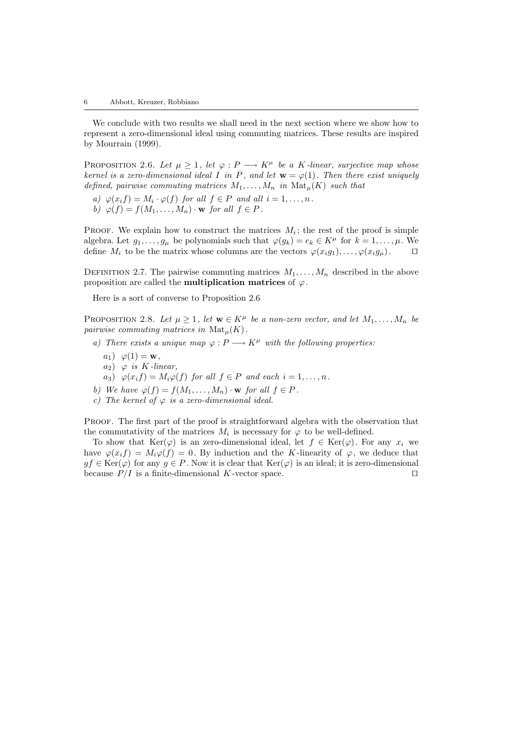We conclude with two results we shall need in the next section where we show how to represent a zero-dimensional ideal using commuting matrices. These results are inspired by Mourrain (1999).

PROPOSITION 2.6. Let  $\mu \geq 1$ , let  $\varphi : P \longrightarrow K^{\mu}$  be a K-linear, surjective map whose kernel is a zero-dimensional ideal I in P, and let  $w = \varphi(1)$ . Then there exist uniquely defined, pairwise commuting matrices  $M_1, \ldots, M_n$  in  $\text{Mat}_{\mu}(K)$  such that

- a)  $\varphi(x_i f) = M_i \cdot \varphi(f)$  for all  $f \in P$  and all  $i = 1, ..., n$ .
- b)  $\varphi(f) = f(M_1, \ldots, M_n) \cdot \mathbf{w}$  for all  $f \in P$ .

PROOF. We explain how to construct the matrices  $M_i$ ; the rest of the proof is simple algebra. Let  $g_1, \ldots, g_\mu$  be polynomials such that  $\varphi(g_k) = e_k \in K^\mu$  for  $k = 1, \ldots, \mu$ . We define  $M_i$  to be the matrix whose columns are the vectors  $\varphi(x_i g_1), \ldots, \varphi(x_i g_\mu)$ .  $\Box$ 

DEFINITION 2.7. The pairwise commuting matrices  $M_1, \ldots, M_n$  described in the above proposition are called the **multiplication matrices** of  $\varphi$ .

Here is a sort of converse to Proposition 2.6

PROPOSITION 2.8. Let  $\mu \geq 1$ , let  $\mathbf{w} \in K^{\mu}$  be a non-zero vector, and let  $M_1, \ldots, M_n$  be pairwise commuting matrices in  $\text{Mat}_{\mu}(K)$ .

- a) There exists a unique map  $\varphi : P \longrightarrow K^{\mu}$  with the following properties:
	- $a_1) \varphi(1) = \mathbf{w},$
	- $a_2)$   $\varphi$  is K-linear,
	- $a_3)$   $\varphi(x_i f) = M_i \varphi(f)$  for all  $f \in P$  and each  $i = 1, \ldots, n$ .
- b) We have  $\varphi(f) = f(M_1, \ldots, M_n) \cdot \mathbf{w}$  for all  $f \in P$ .
- c) The kernel of  $\varphi$  is a zero-dimensional ideal.

PROOF. The first part of the proof is straightforward algebra with the observation that the commutativity of the matrices  $M_i$  is necessary for  $\varphi$  to be well-defined.

To show that  $\text{Ker}(\varphi)$  is an zero-dimensional ideal, let  $f \in \text{Ker}(\varphi)$ . For any  $x_i$  we have  $\varphi(x_i f) = M_i \varphi(f) = 0$ . By induction and the K-linearity of  $\varphi$ , we deduce that  $gf \in \text{Ker}(\varphi)$  for any  $g \in P$ . Now it is clear that  $\text{Ker}(\varphi)$  is an ideal; it is zero-dimensional because  $P/I$  is a finite-dimensional K-vector space.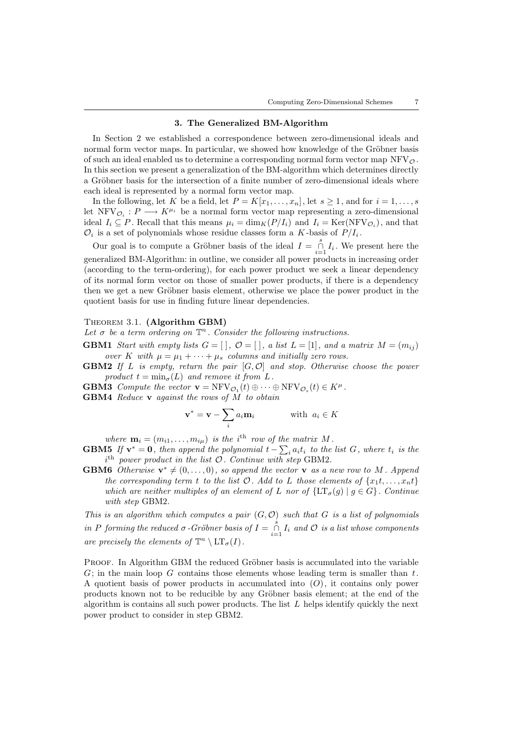## 3. The Generalized BM-Algorithm

In Section 2 we established a correspondence between zero-dimensional ideals and normal form vector maps. In particular, we showed how knowledge of the Gröbner basis of such an ideal enabled us to determine a corresponding normal form vector map  $NFV_{\mathcal{O}}$ . In this section we present a generalization of the BM-algorithm which determines directly a Gröbner basis for the intersection of a finite number of zero-dimensional ideals where each ideal is represented by a normal form vector map.

In the following, let K be a field, let  $P = K[x_1, \ldots, x_n]$ , let  $s \ge 1$ , and for  $i = 1, \ldots, s$ let  $\text{NFV}_{\mathcal{O}_i}: P \longrightarrow K^{\mu_i}$  be a normal form vector map representing a zero-dimensional ideal  $I_i \subseteq P$ . Recall that this means  $\mu_i = \dim_K(P/I_i)$  and  $I_i = \text{Ker}(\text{NFV}_{\mathcal{O}_i})$ , and that  $\mathcal{O}_i$  is a set of polynomials whose residue classes form a K-basis of  $P/I_i$ .

Our goal is to compute a Gröbner basis of the ideal  $I = \int_{i=1}^{s} I_i$ . We present here the generalized BM-Algorithm: in outline, we consider all power products in increasing order (according to the term-ordering), for each power product we seek a linear dependency of its normal form vector on those of smaller power products, if there is a dependency then we get a new Gröbner basis element, otherwise we place the power product in the quotient basis for use in finding future linear dependencies.

# THEOREM 3.1. (Algorithm GBM)

Let  $\sigma$  be a term ordering on  $\mathbb{T}^n$ . Consider the following instructions.

- **GBM1** Start with empty lists  $G = [\ ]$ ,  $\mathcal{O} = [\ ]$ , a list  $L = [1]$ , and a matrix  $M = (m_{ij})$ over K with  $\mu = \mu_1 + \cdots + \mu_s$  columns and initially zero rows.
- **GBM2** If L is empty, return the pair  $[G, \mathcal{O}]$  and stop. Otherwise choose the power product  $t = \min_{\sigma}(L)$  and remove it from L.
- **GBM3** Compute the vector  $\mathbf{v} = \text{NFV}_{\mathcal{O}_1}(t) \oplus \cdots \oplus \text{NFV}_{\mathcal{O}_s}(t) \in K^{\mu}$ .
- GBM4 Reduce **v** against the rows of M to obtain

$$
\mathbf{v}^* = \mathbf{v} - \sum_i a_i \mathbf{m}_i \quad \text{with } a_i \in K
$$

where  $\mathbf{m}_i = (m_{i1}, \dots, m_{i\mu})$  is the i<sup>th</sup> row of the matrix M.

- **GBM5** If  $\mathbf{v}^* = \mathbf{0}$ , then append the polynomial  $t \sum_i a_i t_i$  to the list G, where  $t_i$  is the  $i<sup>th</sup>$  power product in the list  $O$ . Continue with step GBM2.
- **GBM6** Otherwise  $\mathbf{v}^* \neq (0, \ldots, 0)$ , so append the vector **v** as a new row to M. Append the corresponding term t to the list  $\mathcal{O}$ . Add to L those elements of  $\{x_1, \ldots, x_n\}$ which are neither multiples of an element of L nor of  $\{LT_{\sigma}(g) | g \in G\}$ . Continue with step GBM2.

This is an algorithm which computes a pair  $(G, \mathcal{O})$  such that G is a list of polynomials in P forming the reduced  $\sigma$ -Gröbner basis of  $I = \int_{i=1}^{s} I_i$  and  $\mathcal O$  is a list whose components are precisely the elements of  $\mathbb{T}^n \setminus \mathrm{LT}_{\sigma}(I)$ .

PROOF. In Algorithm GBM the reduced Gröbner basis is accumulated into the variable  $G$ ; in the main loop G contains those elements whose leading term is smaller than t. A quotient basis of power products in accumulated into  $(O)$ , it contains only power products known not to be reducible by any Gröbner basis element; at the end of the algorithm is contains all such power products. The list  $L$  helps identify quickly the next power product to consider in step GBM2.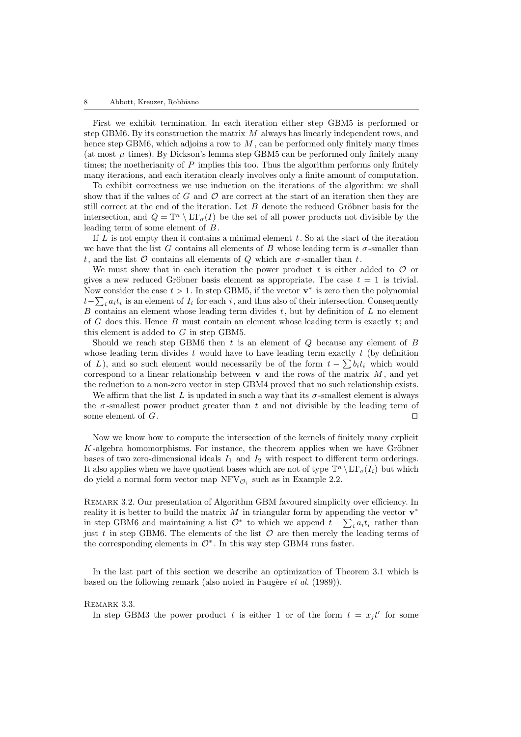#### 8 Abbott, Kreuzer, Robbiano

First we exhibit termination. In each iteration either step GBM5 is performed or step GBM6. By its construction the matrix  $M$  always has linearly independent rows, and hence step GBM6, which adjoins a row to  $M$ , can be performed only finitely many times (at most  $\mu$  times). By Dickson's lemma step GBM5 can be performed only finitely many times; the noetherianity of  $P$  implies this too. Thus the algorithm performs only finitely many iterations, and each iteration clearly involves only a finite amount of computation.

To exhibit correctness we use induction on the iterations of the algorithm: we shall show that if the values of G and  $\mathcal O$  are correct at the start of an iteration then they are still correct at the end of the iteration. Let  $B$  denote the reduced Gröbner basis for the intersection, and  $Q = \mathbb{T}^n \setminus \mathrm{LT}_{\sigma}(I)$  be the set of all power products not divisible by the leading term of some element of B.

If  $L$  is not empty then it contains a minimal element  $t$ . So at the start of the iteration we have that the list G contains all elements of B whose leading term is  $\sigma$ -smaller than t, and the list  $\mathcal O$  contains all elements of  $Q$  which are  $\sigma$ -smaller than t.

We must show that in each iteration the power product t is either added to  $\mathcal O$  or gives a new reduced Gröbner basis element as appropriate. The case  $t = 1$  is trivial. Now consider the case  $t > 1$ . In step GBM5, if the vector  $\mathbf{v}^*$  is zero then the polynomial  $t-\sum_i a_i t_i$  is an element of  $I_i$  for each i, and thus also of their intersection. Consequently B contains an element whose leading term divides  $t$ , but by definition of  $L$  no element of G does this. Hence B must contain an element whose leading term is exactly  $t$ ; and this element is added to G in step GBM5.

Should we reach step GBM6 then  $t$  is an element of  $Q$  because any element of  $B$ whose leading term divides t would have to have leading term exactly t (by definition of L), and so such element would necessarily be of the form  $t - \sum b_i t_i$  which would correspond to a linear relationship between  $\bf{v}$  and the rows of the matrix  $M$ , and yet the reduction to a non-zero vector in step GBM4 proved that no such relationship exists.

We affirm that the list L is updated in such a way that its  $\sigma$ -smallest element is always the  $\sigma$ -smallest power product greater than t and not divisible by the leading term of some element of  $G$ .

Now we know how to compute the intersection of the kernels of finitely many explicit  $K$ -algebra homomorphisms. For instance, the theorem applies when we have Gröbner bases of two zero-dimensional ideals  $I_1$  and  $I_2$  with respect to different term orderings. It also applies when we have quotient bases which are not of type  $\mathbb{T}^n \setminus \mathrm{LT}_{\sigma}(I_i)$  but which do yield a normal form vector map  $\text{NFV}_{\mathcal{O}_i}$  such as in Example 2.2.

Remark 3.2. Our presentation of Algorithm GBM favoured simplicity over efficiency. In reality it is better to build the matrix  $M$  in triangular form by appending the vector  $\mathbf{v}^*$ in step GBM6 and maintaining a list  $\mathcal{O}^*$  to which we append  $t - \sum_i a_i t_i$  rather than just t in step GBM6. The elements of the list  $\mathcal O$  are then merely the leading terms of the corresponding elements in  $\mathcal{O}^*$ . In this way step GBM4 runs faster.

In the last part of this section we describe an optimization of Theorem 3.1 which is based on the following remark (also noted in Faugère *et al.*  $(1989)$ ).

#### REMARK 3.3.

In step GBM3 the power product t is either 1 or of the form  $t = x_j t'$  for some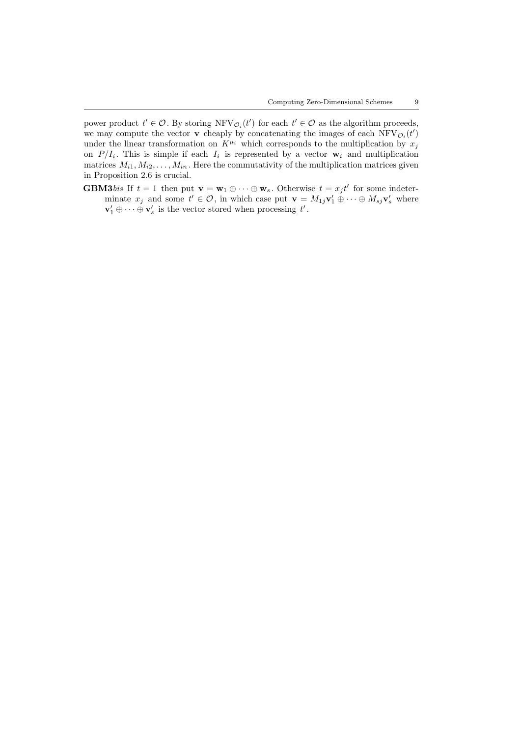power product  $t' \in \mathcal{O}$ . By storing  $\text{NFV}_{\mathcal{O}_i}(t')$  for each  $t' \in \mathcal{O}$  as the algorithm proceeds, we may compute the vector **v** cheaply by concatenating the images of each  $\text{NFV}_{\mathcal{O}_i}(t')$ under the linear transformation on  $K^{\mu_i}$  which corresponds to the multiplication by  $x_j$ on  $P/I_i$ . This is simple if each  $I_i$  is represented by a vector  $\mathbf{w}_i$  and multiplication matrices  $M_{i1}, M_{i2}, \ldots, M_{in}$ . Here the commutativity of the multiplication matrices given in Proposition 2.6 is crucial.

**GBM3***bis* If  $t = 1$  then put  $\mathbf{v} = \mathbf{w}_1 \oplus \cdots \oplus \mathbf{w}_s$ . Otherwise  $t = x_j t'$  for some indeterminate  $x_j$  and some  $t' \in \mathcal{O}$ , in which case put  $\mathbf{v} = M_{1j}\mathbf{v}'_1 \oplus \cdots \oplus M_{sj}\mathbf{v}'_s$  where  $\mathbf{v}'_1 \oplus \cdots \oplus \mathbf{v}'_s$  is the vector stored when processing  $t'$ .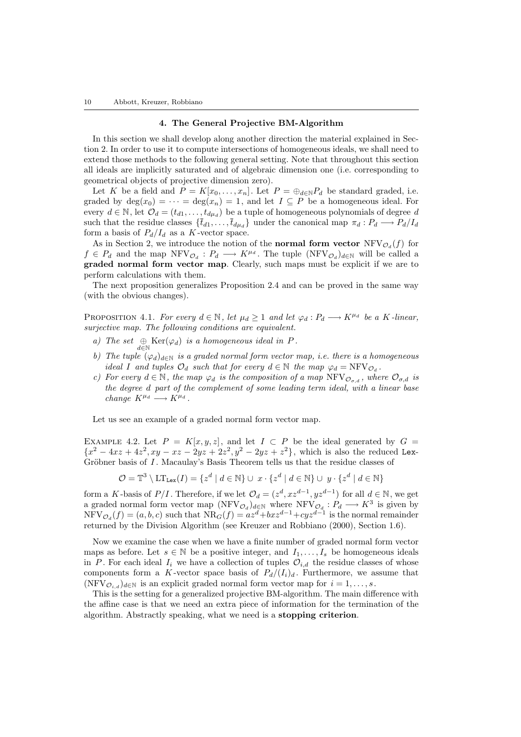#### 4. The General Projective BM-Algorithm

In this section we shall develop along another direction the material explained in Section 2. In order to use it to compute intersections of homogeneous ideals, we shall need to extend those methods to the following general setting. Note that throughout this section all ideals are implicitly saturated and of algebraic dimension one (i.e. corresponding to geometrical objects of projective dimension zero).

Let K be a field and  $P = K[x_0, \ldots, x_n]$ . Let  $P = \bigoplus_{d \in \mathbb{N}} P_d$  be standard graded, i.e. graded by  $\deg(x_0) = \cdots = \deg(x_n) = 1$ , and let  $I \subseteq P$  be a homogeneous ideal. For every  $d \in \mathbb{N}$ , let  $\mathcal{O}_d = (t_{d1}, \ldots, t_{d\mu_d})$  be a tuple of homogeneous polynomials of degree d such that the residue classes  $\{\bar{t}_{d1}, \ldots, \bar{t}_{d\mu_d}\}\$  under the canonical map  $\pi_d : P_d \longrightarrow P_d/I_d$ form a basis of  $P_d/I_d$  as a K-vector space.

As in Section 2, we introduce the notion of the **normal form vector**  $NFV_{\mathcal{O}_d}(f)$  for  $f \in P_d$  and the map  $\text{NFV}_{\mathcal{O}_d}: P_d \longrightarrow K^{\mu_d}$ . The tuple  $(\text{NFV}_{\mathcal{O}_d})_{d \in \mathbb{N}}$  will be called a graded normal form vector map. Clearly, such maps must be explicit if we are to perform calculations with them.

The next proposition generalizes Proposition 2.4 and can be proved in the same way (with the obvious changes).

PROPOSITION 4.1. For every  $d \in \mathbb{N}$ , let  $\mu_d \geq 1$  and let  $\varphi_d : P_d \longrightarrow K^{\mu_d}$  be a K-linear, surjective map. The following conditions are equivalent.

- a) The set  $\bigoplus_{d \in \mathbb{N}} \text{Ker}(\varphi_d)$  is a homogeneous ideal in P.
- b) The tuple  $(\varphi_d)_{d\in\mathbb{N}}$  is a graded normal form vector map, i.e. there is a homogeneous ideal I and tuples  $\mathcal{O}_d$  such that for every  $d \in \mathbb{N}$  the map  $\varphi_d = \text{NFV}_{\mathcal{O}_d}$ .
- c) For every  $d \in \mathbb{N}$ , the map  $\varphi_d$  is the composition of a map  $\text{NFV}_{\mathcal{O}_{\sigma,d}}$ , where  $\mathcal{O}_{\sigma,d}$  is the degree d part of the complement of some leading term ideal, with a linear base change  $K^{\mu_d} \longrightarrow K^{\mu_d}$ .

Let us see an example of a graded normal form vector map.

EXAMPLE 4.2. Let  $P = K[x, y, z]$ , and let  $I \subset P$  be the ideal generated by  $G =$  ${x^2 - 4xz + 4z^2, xy - xz - 2yz + 2z^2, y^2 - 2yz + z^2}$ , which is also the reduced Lex-Gröbner basis of  $I$ . Macaulay's Basis Theorem tells us that the residue classes of

$$
\mathcal{O} = \mathbb{T}^3 \setminus \text{LT}_{\text{Lex}}(I) = \{ z^d \mid d \in \mathbb{N} \} \cup x \cdot \{ z^d \mid d \in \mathbb{N} \} \cup y \cdot \{ z^d \mid d \in \mathbb{N} \}
$$

form a K-basis of  $P/I$ . Therefore, if we let  $\mathcal{O}_d = (z^d, xz^{d-1}, yz^{d-1})$  for all  $d \in \mathbb{N}$ , we get a graded normal form vector map  $(NFV_{\mathcal{O}_d})_{d\in\mathbb{N}}$  where  $NFV_{\mathcal{O}_d}: P_d \longrightarrow K^3$  is given by  $NFV_{\mathcal{O}_d}(f) = (a, b, c)$  such that  $NR_G(f) = az^d + bxz^{d-1} + cyz^{d-1}$  is the normal remainder returned by the Division Algorithm (see Kreuzer and Robbiano (2000), Section 1.6).

Now we examine the case when we have a finite number of graded normal form vector maps as before. Let  $s \in \mathbb{N}$  be a positive integer, and  $I_1, \ldots, I_s$  be homogeneous ideals in P. For each ideal  $I_i$  we have a collection of tuples  $\mathcal{O}_{i,d}$  the residue classes of whose components form a K-vector space basis of  $P_d/(I_i)_d$ . Furthermore, we assume that  $(NFV_{\mathcal{O}_{i,d}})_{d\in\mathbb{N}}$  is an explicit graded normal form vector map for  $i=1,\ldots,s$ .

This is the setting for a generalized projective BM-algorithm. The main difference with the affine case is that we need an extra piece of information for the termination of the algorithm. Abstractly speaking, what we need is a stopping criterion.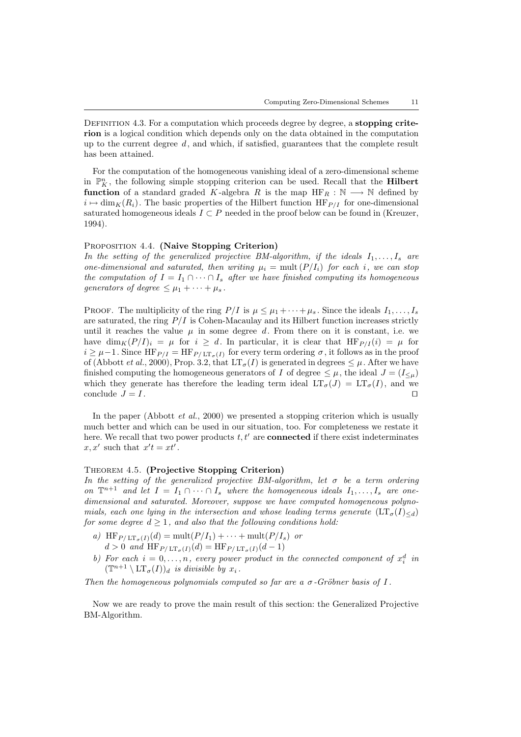DEFINITION 4.3. For a computation which proceeds degree by degree, a **stopping crite**rion is a logical condition which depends only on the data obtained in the computation up to the current degree  $d$ , and which, if satisfied, guarantees that the complete result has been attained.

For the computation of the homogeneous vanishing ideal of a zero-dimensional scheme in  $\mathbb{P}_K^n$ , the following simple stopping criterion can be used. Recall that the **Hilbert** function of a standard graded K-algebra R is the map  $HF_R : \mathbb{N} \longrightarrow \mathbb{N}$  defined by  $i \mapsto \dim_K(R_i)$ . The basic properties of the Hilbert function HF<sub>P/I</sub> for one-dimensional saturated homogeneous ideals  $I \subset P$  needed in the proof below can be found in (Kreuzer, 1994).

#### PROPOSITION 4.4. (Naive Stopping Criterion)

In the setting of the generalized projective BM-algorithm, if the ideals  $I_1, \ldots, I_s$  are one-dimensional and saturated, then writing  $\mu_i = \text{mult}(P/I_i)$  for each i, we can stop the computation of  $I = I_1 \cap \cdots \cap I_s$  after we have finished computing its homogeneous generators of degree  $\leq \mu_1 + \cdots + \mu_s$ .

PROOF. The multiplicity of the ring  $P/I$  is  $\mu \leq \mu_1 + \cdots + \mu_s$ . Since the ideals  $I_1, \ldots, I_s$ are saturated, the ring  $P/I$  is Cohen-Macaulay and its Hilbert function increases strictly until it reaches the value  $\mu$  in some degree d. From there on it is constant, i.e. we have  $\dim_K(P/I)_i = \mu$  for  $i \geq d$ . In particular, it is clear that  $HF_{P/I}(i) = \mu$  for  $i \geq \mu - 1$ . Since  $HF_{P/I} = HF_{P/LT_{\sigma}(I)}$  for every term ordering  $\sigma$ , it follows as in the proof of (Abbott *et al.*, 2000), Prop. 3.2, that  $LT_{\sigma}(I)$  is generated in degrees  $\leq \mu$ . After we have finished computing the homogeneous generators of I of degree  $\leq \mu$ , the ideal  $J = (I_{\leq \mu})$ which they generate has therefore the leading term ideal  $LT_{\sigma}(J) = LT_{\sigma}(I)$ , and we conclude  $J = I$ .

In the paper (Abbott  $et al., 2000$ ) we presented a stopping criterion which is usually much better and which can be used in our situation, too. For completeness we restate it here. We recall that two power products  $t, t'$  are **connected** if there exist indeterminates  $x, x'$  such that  $x't = xt'$ .

### Theorem 4.5. (Projective Stopping Criterion)

In the setting of the generalized projective BM-algorithm, let  $\sigma$  be a term ordering on  $\mathbb{T}^{n+1}$  and let  $I = I_1 \cap \cdots \cap I_s$  where the homogeneous ideals  $I_1, \ldots, I_s$  are onedimensional and saturated. Moreover, suppose we have computed homogeneous polynomials, each one lying in the intersection and whose leading terms generate  $(\mathop{\rm LT}\nolimits_{\sigma}(I)_{\leq d})$ for some degree  $d \geq 1$ , and also that the following conditions hold:

- a)  $\operatorname{HF}_{P/LT_{\sigma}(I)}(d) = \operatorname{mult}(P/I_1) + \cdots + \operatorname{mult}(P/I_s)$  or  $d > 0$  and  $HF_{P/\text{LT}_{\sigma}(I)}(d) = HF_{P/\text{LT}_{\sigma}(I)}(d-1)$
- b) For each  $i = 0, \ldots, n$ , every power product in the connected component of  $x_i^d$  in  $(\mathbb{T}^{n+1} \setminus \mathrm{LT}_{\sigma}(I))_d$  is divisible by  $x_i$ .

Then the homogeneous polynomials computed so far are a  $\sigma$ -Gröbner basis of I.

Now we are ready to prove the main result of this section: the Generalized Projective BM-Algorithm.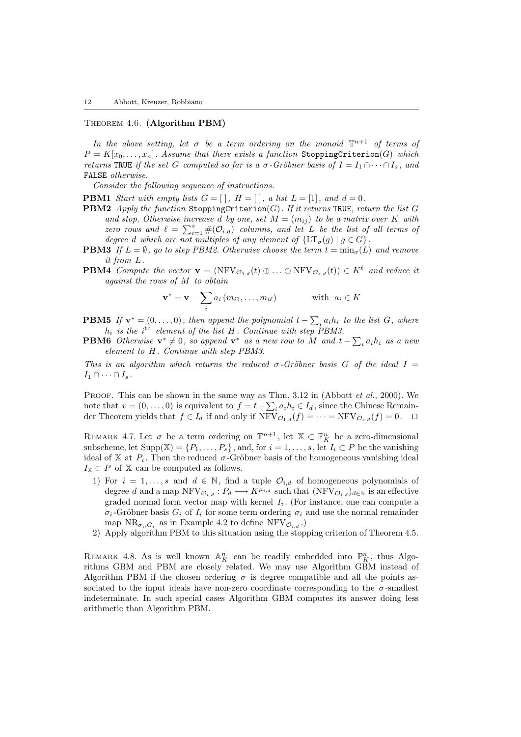## Theorem 4.6. (Algorithm PBM)

In the above setting, let  $\sigma$  be a term ordering on the monoid  $\mathbb{T}^{n+1}$  of terms of  $P = K[x_0, \ldots, x_n]$ . Assume that there exists a function StoppingCriterion(G) which returns TRUE if the set G computed so far is a  $\sigma$ -Gröbner basis of  $I = I_1 \cap \cdots \cap I_s$ , and FALSE otherwise.

Consider the following sequence of instructions.

- **PBM1** Start with empty lists  $G = [\,], H = [\,], a$  list  $L = [1], and d = 0$ .
- **PBM2** Apply the function StoppingCriterion(G). If it returns TRUE, return the list G and stop. Otherwise increase d by one, set  $M = (m_{ij})$  to be a matrix over K with zero rows and  $\ell = \sum_{i=1}^{s} \#(O_{i,d})$  columns, and let L be the list of all terms of degree d which are not multiples of any element of  $\{\mathrm{LT}_{\sigma}(g) \mid g \in G\}$ .
- **PBM3** If  $L = \emptyset$ , go to step PBM2. Otherwise choose the term  $t = \min_{\sigma}(L)$  and remove it from L.
- **PBM4** Compute the vector  $\mathbf{v} = (NF V_{\mathcal{O}_{1,d}}(t) \oplus ... \oplus NF V_{\mathcal{O}_{s,d}}(t)) \in K^{\ell}$  and reduce it against the rows of M to obtain

$$
\mathbf{v}^* = \mathbf{v} - \sum_i a_i \left( m_{i1}, \dots, m_{i\ell} \right) \qquad \text{with } a_i \in K
$$

- **PBM5** If  $\mathbf{v}^* = (0, \ldots, 0)$ , then append the polynomial  $t \sum_i a_i h_i$  to the list G, where  $h_i$  is the i<sup>th</sup> element of the list H. Continue with step PBM3.
- **PBM6** Otherwise  $\mathbf{v}^* \neq 0$ , so append  $\mathbf{v}^*$  as a new row to M and  $t \sum_i a_i h_i$  as a new element to H . Continue with step PBM3.

This is an algorithm which returns the reduced  $\sigma$ -Gröbner basis G of the ideal I =  $I_1 \cap \cdots \cap I_s$ .

PROOF. This can be shown in the same way as Thm. 3.12 in (Abbott *et al.*, 2000). We note that  $v = (0, \ldots, 0)$  is equivalent to  $f = t - \sum_i a_i h_i \in I_d$ , since the Chinese Remainder Theorem yields that  $f \in I_d$  if and only if  $NFV_{\mathcal{O}_{1,d}}(f) = \cdots = NFV_{\mathcal{O}_{s,d}}(f) = 0.$   $\Box$ 

REMARK 4.7. Let  $\sigma$  be a term ordering on  $\mathbb{T}^{n+1}$ , let  $\mathbb{X} \subset \mathbb{P}_{K}^{n}$  be a zero-dimensional subscheme, let  $\text{Supp}(\mathbb{X}) = \{P_1, \ldots, P_s\}$ , and, for  $i = 1, \ldots, s$ , let  $I_i \subset P$  be the vanishing ideal of X at  $P_i$ . Then the reduced  $\sigma$ -Gröbner basis of the homogeneous vanishing ideal  $I_{\mathbb{X}} \subset P$  of  $\mathbb{X}$  can be computed as follows.

- 1) For  $i = 1, \ldots, s$  and  $d \in \mathbb{N}$ , find a tuple  $\mathcal{O}_{i,d}$  of homogeneous polynomials of degree d and a map  $\text{NFV}_{\mathcal{O}_{i,d}}: P_d \longrightarrow K^{\mu_{i,d}}$  such that  $(\text{NFV}_{\mathcal{O}_{i,d}})_{d \in \mathbb{N}}$  is an effective graded normal form vector map with kernel  $I_i$ . (For instance, one can compute a  $\sigma_i$ -Gröbner basis  $G_i$  of  $I_i$  for some term ordering  $\sigma_i$  and use the normal remainder map  $NR_{\sigma_i,G_i}$  as in Example 4.2 to define  $NFV_{\mathcal{O}_{i,d}}$ .)
- 2) Apply algorithm PBM to this situation using the stopping criterion of Theorem 4.5.

REMARK 4.8. As is well known  $\mathbb{A}_{K}^{n}$  can be readily embedded into  $\mathbb{P}_{K}^{n}$ , thus Algorithms GBM and PBM are closely related. We may use Algorithm GBM instead of Algorithm PBM if the chosen ordering  $\sigma$  is degree compatible and all the points associated to the input ideals have non-zero coordinate corresponding to the  $\sigma$ -smallest indeterminate. In such special cases Algorithm GBM computes its answer doing less arithmetic than Algorithm PBM.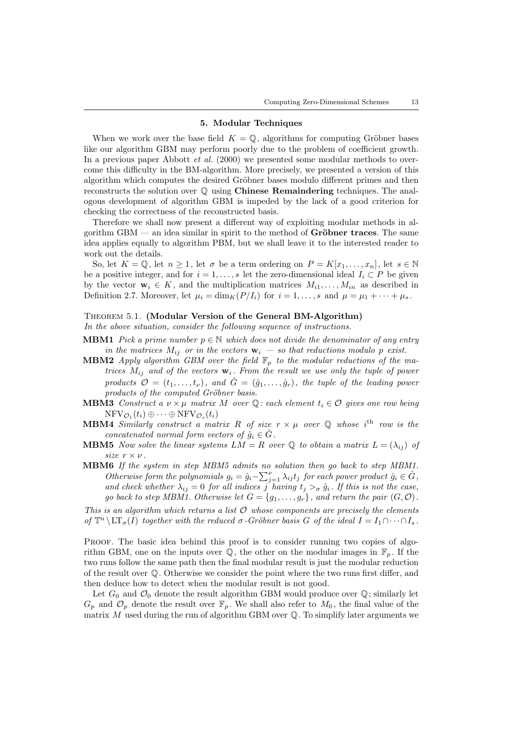### 5. Modular Techniques

When we work over the base field  $K = \mathbb{Q}$ , algorithms for computing Gröbner bases like our algorithm GBM may perform poorly due to the problem of coefficient growth. In a previous paper Abbott *et al.* (2000) we presented some modular methods to overcome this difficulty in the BM-algorithm. More precisely, we presented a version of this algorithm which computes the desired Gröbner bases modulo different primes and then reconstructs the solution over  $\mathbb Q$  using **Chinese Remaindering** techniques. The analogous development of algorithm GBM is impeded by the lack of a good criterion for checking the correctness of the reconstructed basis.

Therefore we shall now present a different way of exploiting modular methods in algorithm  $GBM$  — an idea similar in spirit to the method of  $Gr\ddot{o}bner$  traces. The same idea applies equally to algorithm PBM, but we shall leave it to the interested reader to work out the details.

So, let  $K = \mathbb{Q}$ , let  $n \geq 1$ , let  $\sigma$  be a term ordering on  $P = K[x_1, \ldots, x_n]$ , let  $s \in \mathbb{N}$ be a positive integer, and for  $i = 1, \ldots, s$  let the zero-dimensional ideal  $I_i \subset P$  be given by the vector  $\mathbf{w}_i \in K$ , and the multiplication matrices  $M_{i1}, \ldots, M_{in}$  as described in Definition 2.7. Moreover, let  $\mu_i = \dim_K(P/I_i)$  for  $i = 1, ..., s$  and  $\mu = \mu_1 + \cdots + \mu_s$ .

# Theorem 5.1. (Modular Version of the General BM-Algorithm)

In the above situation, consider the following sequence of instructions.

- **MBM1** Pick a prime number  $p \in \mathbb{N}$  which does not divide the denominator of any entry in the matrices  $M_{ij}$  or in the vectors  $\mathbf{w}_i$  – so that reductions modulo p exist.
- **MBM2** Apply algorithm GBM over the field  $\mathbb{F}_p$  to the modular reductions of the matrices  $M_{ij}$  and of the vectors  $\mathbf{w}_i$ . From the result we use only the tuple of power products  $\mathcal{O} = (t_1, \ldots, t_{\nu})$ , and  $\hat{G} = (\hat{g}_1, \ldots, \hat{g}_r)$ , the tuple of the leading power products of the computed Gröbner basis.
- **MBM3** Construct a  $\nu \times \mu$  matrix M over Q: each element  $t_i \in \mathcal{O}$  gives one row being  $\mathrm{NFV}_{\mathcal{O}_1}(t_i) \oplus \cdots \oplus \mathrm{NFV}_{\mathcal{O}_s}(t_i)$
- **MBM4** Similarly construct a matrix R of size  $r \times \mu$  over Q whose i<sup>th</sup> row is the concatenated normal form vectors of  $\hat{g}_i \in \hat{G}$ .
- **MBM5** Now solve the linear systems  $LM = R$  over Q to obtain a matrix  $L = (\lambda_{ij})$  of size  $r \times \nu$ .
- MBM6 If the system in step MBM5 admits no solution then go back to step MBM1. Otherwise form the polynomials  $g_i = \hat{g}_i - \sum_{j=1}^{\nu} \lambda_{ij} t_j$  for each power product  $\hat{g}_i \in \hat{G}$ , and check whether  $\lambda_{ij} = 0$  for all indices j having  $t_j >_{\sigma} \hat{g}_i$ . If this is not the case, go back to step MBM1. Otherwise let  $G = \{g_1, \ldots, g_r\}$ , and return the pair  $(G, \mathcal{O})$ .

This is an algorithm which returns a list  $\mathcal O$  whose components are precisely the elements of  $\mathbb{T}^n \setminus \mathrm{LT}_{\sigma}(I)$  together with the reduced  $\sigma$ -Gröbner basis G of the ideal  $I = I_1 \cap \cdots \cap I_s$ .

PROOF. The basic idea behind this proof is to consider running two copies of algorithm GBM, one on the inputs over  $\mathbb{Q}$ , the other on the modular images in  $\mathbb{F}_n$ . If the two runs follow the same path then the final modular result is just the modular reduction of the result over Q. Otherwise we consider the point where the two runs first differ, and then deduce how to detect when the modular result is not good.

Let  $G_0$  and  $\mathcal{O}_0$  denote the result algorithm GBM would produce over  $\mathbb{Q}$ ; similarly let  $G_p$  and  $\mathcal{O}_p$  denote the result over  $\mathbb{F}_p$ . We shall also refer to  $M_0$ , the final value of the matrix  $M$  used during the run of algorithm GBM over  $\mathbb Q$ . To simplify later arguments we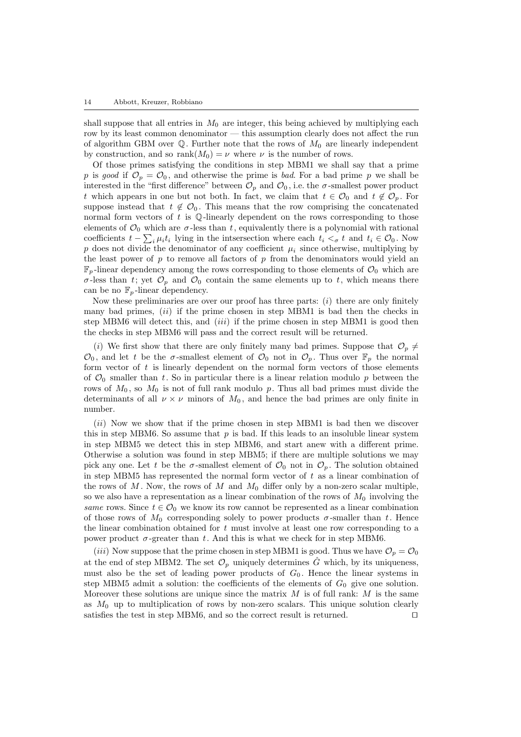shall suppose that all entries in  $M_0$  are integer, this being achieved by multiplying each row by its least common denominator — this assumption clearly does not affect the run of algorithm GBM over  $\mathbb Q$ . Further note that the rows of  $M_0$  are linearly independent by construction, and so rank $(M_0) = \nu$  where  $\nu$  is the number of rows.

Of those primes satisfying the conditions in step MBM1 we shall say that a prime p is good if  $\mathcal{O}_p = \mathcal{O}_0$ , and otherwise the prime is bad. For a bad prime p we shall be interested in the "first difference" between  $\mathcal{O}_p$  and  $\mathcal{O}_0$ , i.e. the  $\sigma$ -smallest power product t which appears in one but not both. In fact, we claim that  $t \in \mathcal{O}_0$  and  $t \notin \mathcal{O}_p$ . For suppose instead that  $t \notin \mathcal{O}_0$ . This means that the row comprising the concatenated normal form vectors of  $t$  is  $\mathbb Q$ -linearly dependent on the rows corresponding to those elements of  $\mathcal{O}_0$  which are  $\sigma$ -less than t, equivalently there is a polynomial with rational coefficients  $t - \sum_i \mu_i t_i$  lying in the intsersection where each  $t_i <_{\sigma} t$  and  $t_i \in \mathcal{O}_0$ . Now p does not divide the denominator of any coefficient  $\mu_i$  since otherwise, multiplying by the least power of  $p$  to remove all factors of  $p$  from the denominators would yield an  $\mathbb{F}_p$ -linear dependency among the rows corresponding to those elements of  $\mathcal{O}_0$  which are  $\sigma$ -less than t; yet  $\mathcal{O}_p$  and  $\mathcal{O}_0$  contain the same elements up to t, which means there can be no  $\mathbb{F}_p$ -linear dependency.

Now these preliminaries are over our proof has three parts:  $(i)$  there are only finitely many bad primes,  $(ii)$  if the prime chosen in step MBM1 is bad then the checks in step MBM6 will detect this, and  $(iii)$  if the prime chosen in step MBM1 is good then the checks in step MBM6 will pass and the correct result will be returned.

(i) We first show that there are only finitely many bad primes. Suppose that  $\mathcal{O}_p \neq$  $\mathcal{O}_0$ , and let t be the  $\sigma$ -smallest element of  $\mathcal{O}_0$  not in  $\mathcal{O}_p$ . Thus over  $\mathbb{F}_p$  the normal form vector of  $t$  is linearly dependent on the normal form vectors of those elements of  $\mathcal{O}_0$  smaller than t. So in particular there is a linear relation modulo p between the rows of  $M_0$ , so  $M_0$  is not of full rank modulo p. Thus all bad primes must divide the determinants of all  $\nu \times \nu$  minors of  $M_0$ , and hence the bad primes are only finite in number.

(ii) Now we show that if the prime chosen in step MBM1 is bad then we discover this in step MBM6. So assume that  $p$  is bad. If this leads to an insoluble linear system in step MBM5 we detect this in step MBM6, and start anew with a different prime. Otherwise a solution was found in step MBM5; if there are multiple solutions we may pick any one. Let t be the  $\sigma$ -smallest element of  $\mathcal{O}_0$  not in  $\mathcal{O}_p$ . The solution obtained in step MBM5 has represented the normal form vector of  $t$  as a linear combination of the rows of M. Now, the rows of M and  $M_0$  differ only by a non-zero scalar multiple, so we also have a representation as a linear combination of the rows of  $M_0$  involving the same rows. Since  $t \in \mathcal{O}_0$  we know its row cannot be represented as a linear combination of those rows of  $M_0$  corresponding solely to power products  $\sigma$ -smaller than t. Hence the linear combination obtained for  $t$  must involve at least one row corresponding to a power product  $\sigma$ -greater than t. And this is what we check for in step MBM6.

(iii) Now suppose that the prime chosen in step MBM1 is good. Thus we have  $\mathcal{O}_p = \mathcal{O}_0$ at the end of step MBM2. The set  $\mathcal{O}_p$  uniquely determines  $\hat{G}$  which, by its uniqueness, must also be the set of leading power products of  $G_0$ . Hence the linear systems in step MBM5 admit a solution: the coefficients of the elements of  $G_0$  give one solution. Moreover these solutions are unique since the matrix  $M$  is of full rank:  $M$  is the same as  $M_0$  up to multiplication of rows by non-zero scalars. This unique solution clearly satisfies the test in step MBM6, and so the correct result is returned.  $\square$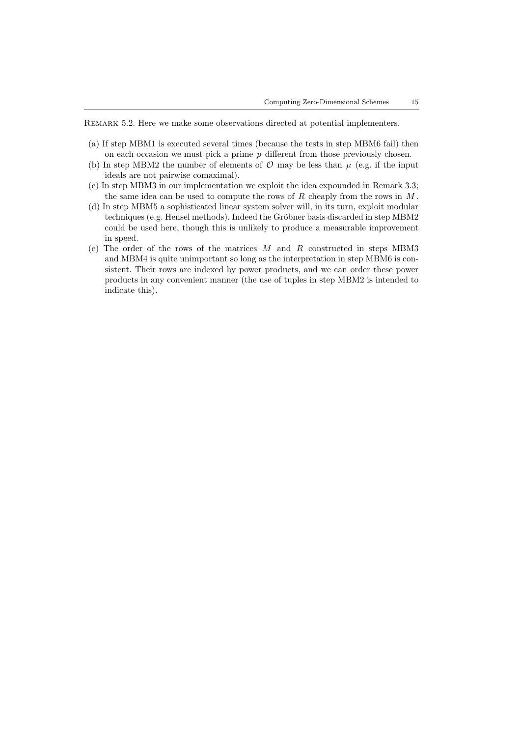REMARK 5.2. Here we make some observations directed at potential implementers.

- (a) If step MBM1 is executed several times (because the tests in step MBM6 fail) then on each occasion we must pick a prime  $p$  different from those previously chosen.
- (b) In step MBM2 the number of elements of  $\mathcal O$  may be less than  $\mu$  (e.g. if the input ideals are not pairwise comaximal).
- (c) In step MBM3 in our implementation we exploit the idea expounded in Remark 3.3; the same idea can be used to compute the rows of  $R$  cheaply from the rows in  $M$ .
- (d) In step MBM5 a sophisticated linear system solver will, in its turn, exploit modular techniques (e.g. Hensel methods). Indeed the Gröbner basis discarded in step MBM2 could be used here, though this is unlikely to produce a measurable improvement in speed.
- (e) The order of the rows of the matrices  $M$  and  $R$  constructed in steps MBM3 and MBM4 is quite unimportant so long as the interpretation in step MBM6 is consistent. Their rows are indexed by power products, and we can order these power products in any convenient manner (the use of tuples in step MBM2 is intended to indicate this).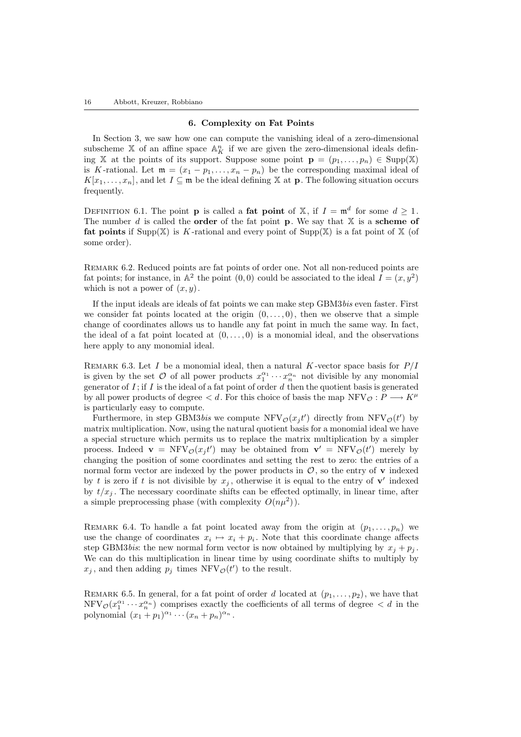#### 6. Complexity on Fat Points

In Section 3, we saw how one can compute the vanishing ideal of a zero-dimensional subscheme X of an affine space  $\mathbb{A}^n$  if we are given the zero-dimensional ideals defining X at the points of its support. Suppose some point  $\mathbf{p} = (p_1, \ldots, p_n) \in \text{Supp}(\mathbb{X})$ is K-rational. Let  $\mathfrak{m} = (x_1 - p_1, \ldots, x_n - p_n)$  be the corresponding maximal ideal of  $K[x_1, \ldots, x_n]$ , and let  $I \subseteq \mathfrak{m}$  be the ideal defining X at **p**. The following situation occurs frequently.

DEFINITION 6.1. The point **p** is called a **fat point** of X, if  $I = \mathfrak{m}^d$  for some  $d \geq 1$ . The number  $d$  is called the **order** of the fat point **p**. We say that  $X$  is a scheme of **fat points** if Supp(X) is K-rational and every point of Supp(X) is a fat point of X (of some order).

Remark 6.2. Reduced points are fat points of order one. Not all non-reduced points are fat points; for instance, in  $\mathbb{A}^2$  the point  $(0,0)$  could be associated to the ideal  $I = (x, y^2)$ which is not a power of  $(x, y)$ .

If the input ideals are ideals of fat points we can make step GBM3bis even faster. First we consider fat points located at the origin  $(0, \ldots, 0)$ , then we observe that a simple change of coordinates allows us to handle any fat point in much the same way. In fact, the ideal of a fat point located at  $(0, \ldots, 0)$  is a monomial ideal, and the observations here apply to any monomial ideal.

REMARK 6.3. Let I be a monomial ideal, then a natural K-vector space basis for  $P/I$ is given by the set  $\mathcal O$  of all power products  $x_1^{\alpha_1} \cdots x_n^{\alpha_n}$  not divisible by any monomial generator of  $I$ ; if  $I$  is the ideal of a fat point of order  $d$  then the quotient basis is generated by all power products of degree  $\lt d$ . For this choice of basis the map NFV $\circ$  :  $P \longrightarrow K^\mu$ is particularly easy to compute.

Furthermore, in step GBM3bis we compute  $NFV_{\mathcal{O}}(x_j t')$  directly from  $NFV_{\mathcal{O}}(t')$  by matrix multiplication. Now, using the natural quotient basis for a monomial ideal we have a special structure which permits us to replace the matrix multiplication by a simpler process. Indeed  $\mathbf{v} = \text{NFV}_{\mathcal{O}}(x_j t')$  may be obtained from  $\mathbf{v}' = \text{NFV}_{\mathcal{O}}(t')$  merely by changing the position of some coordinates and setting the rest to zero: the entries of a normal form vector are indexed by the power products in  $\mathcal{O}$ , so the entry of **v** indexed by t is zero if t is not divisible by  $x_j$ , otherwise it is equal to the entry of  $\mathbf{v}'$  indexed by  $t/x_i$ . The necessary coordinate shifts can be effected optimally, in linear time, after a simple preprocessing phase (with complexity  $O(n\mu^2)$ ).

REMARK 6.4. To handle a fat point located away from the origin at  $(p_1, \ldots, p_n)$  we use the change of coordinates  $x_i \mapsto x_i + p_i$ . Note that this coordinate change affects step GBM3bis: the new normal form vector is now obtained by multiplying by  $x_i + p_i$ . We can do this multiplication in linear time by using coordinate shifts to multiply by  $x_j$ , and then adding  $p_j$  times NFV $\mathcal{O}(t')$  to the result.

REMARK 6.5. In general, for a fat point of order d located at  $(p_1, \ldots, p_2)$ , we have that  $\text{NFV}_{\mathcal{O}}(x_1^{\alpha_1} \cdots x_n^{\alpha_n})$  comprises exactly the coefficients of all terms of degree  $\lt d$  in the polynomial  $(x_1+p_1)^{\alpha_1}\cdots(x_n+p_n)^{\alpha_n}$ .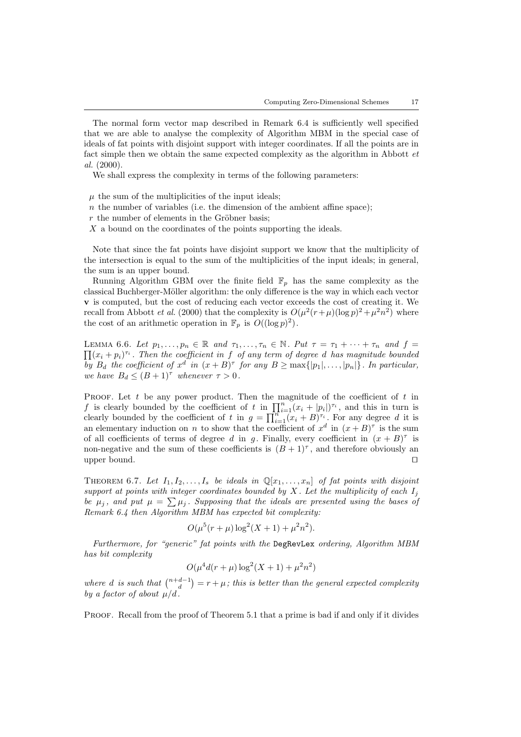The normal form vector map described in Remark 6.4 is sufficiently well specified that we are able to analyse the complexity of Algorithm MBM in the special case of ideals of fat points with disjoint support with integer coordinates. If all the points are in fact simple then we obtain the same expected complexity as the algorithm in Abbott et al. (2000).

We shall express the complexity in terms of the following parameters:

- $\mu$  the sum of the multiplicities of the input ideals;
- $n$  the number of variables (i.e. the dimension of the ambient affine space);
- $r$  the number of elements in the Gröbner basis;
- X a bound on the coordinates of the points supporting the ideals.

Note that since the fat points have disjoint support we know that the multiplicity of the intersection is equal to the sum of the multiplicities of the input ideals; in general, the sum is an upper bound.

Running Algorithm GBM over the finite field  $\mathbb{F}_p$  has the same complexity as the classical Buchberger-Möller algorithm: the only difference is the way in which each vector v is computed, but the cost of reducing each vector exceeds the cost of creating it. We recall from Abbott *et al.* (2000) that the complexity is  $O(\mu^2(r+\mu)(\log p)^2 + \mu^2 n^2)$  where the cost of an arithmetic operation in  $\mathbb{F}_p$  is  $O((\log p)^2)$ .

LEMMA 6.6. Let  $p_1, \ldots, p_n \in \mathbb{R}$  and  $\tau_1, \ldots, \tau_n \in \mathbb{N}$ . Put  $\tau = \tau_1 + \cdots + \tau_n$  and  $f =$  $\prod (x_i + p_i)^{\tau_i}$ . Then the coefficient in f of any term of degree d has magnitude bounded by  $B_d$  the coefficient of  $x^d$  in  $(x+B)^\tau$  for any  $B \ge \max\{|p_1|, \ldots, |p_n|\}$ . In particular, we have  $B_d \leq (B+1)^{\tau}$  whenever  $\tau > 0$ .

PROOF. Let t be any power product. Then the magnitude of the coefficient of t in f is clearly bounded by the coefficient of t in  $\prod_{i=1}^{n} (x_i + |p_i|)^{\tau_i}$ , and this in turn is clearly bounded by the coefficient of t in  $g = \prod_{i=1}^{n} (x_i + B)^{\tau_i}$ . For any degree d it is an elementary induction on n to show that the coefficient of  $x^d$  in  $(x+B)^\tau$  is the sum of all coefficients of terms of degree d in g. Finally, every coefficient in  $(x + B)^{\tau}$  is non-negative and the sum of these coefficients is  $(B+1)^{\tau}$ , and therefore obviously an upper bound.  $\square$ 

THEOREM 6.7. Let  $I_1, I_2, \ldots, I_s$  be ideals in  $\mathbb{Q}[x_1, \ldots, x_n]$  of fat points with disjoint support at points with integer coordinates bounded by X. Let the multiplicity of each  $I_j$ be  $\mu_j$ , and put  $\mu = \sum \mu_j$ . Supposing that the ideals are presented using the bases of Remark 6.4 then Algorithm MBM has expected bit complexity:

$$
O(\mu^5(r+\mu)\log^2(X+1)+\mu^2n^2).
$$

Furthermore, for "generic" fat points with the DegRevLex ordering, Algorithm MBM has bit complexity

$$
O(\mu^4 d(r+\mu) \log^2(X+1) + \mu^2 n^2)
$$

where d is such that  $\binom{n+d-1}{d} = r + \mu$ ; this is better than the general expected complexity by a factor of about  $\mu/d$ .

PROOF. Recall from the proof of Theorem 5.1 that a prime is bad if and only if it divides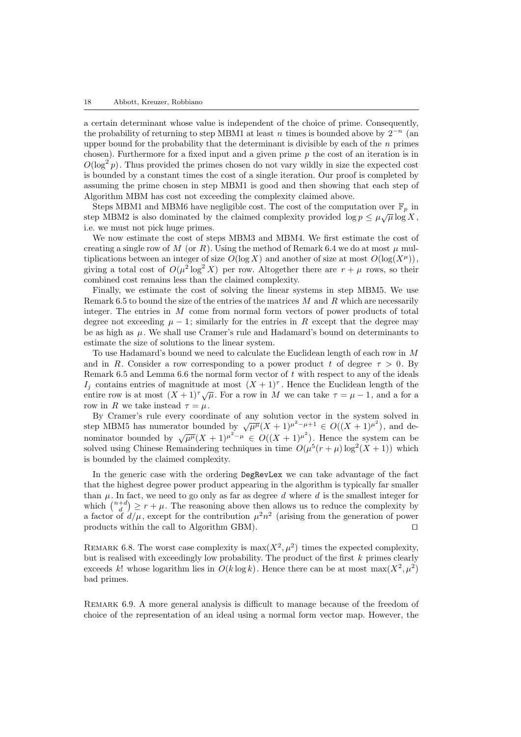a certain determinant whose value is independent of the choice of prime. Consequently, the probability of returning to step MBM1 at least n times is bounded above by  $2^{-n}$  (an upper bound for the probability that the determinant is divisible by each of the  $n$  primes chosen). Furthermore for a fixed input and a given prime  $p$  the cost of an iteration is in  $O(\log^2 p)$ . Thus provided the primes chosen do not vary wildly in size the expected cost is bounded by a constant times the cost of a single iteration. Our proof is completed by assuming the prime chosen in step MBM1 is good and then showing that each step of Algorithm MBM has cost not exceeding the complexity claimed above.

Steps MBM1 and MBM6 have negligible cost. The cost of the computation over  $\mathbb{F}_p$  in step MBM2 is also dominated by the claimed complexity provided  $\log p \leq \mu \sqrt{\mu} \log X$ , i.e. we must not pick huge primes.

We now estimate the cost of steps MBM3 and MBM4. We first estimate the cost of creating a single row of M (or R). Using the method of Remark 6.4 we do at most  $\mu$  multiplications between an integer of size  $O(\log X)$  and another of size at most  $O(\log(X^{\mu}))$ , giving a total cost of  $O(\mu^2 \log^2 X)$  per row. Altogether there are  $r + \mu$  rows, so their combined cost remains less than the claimed complexity.

Finally, we estimate the cost of solving the linear systems in step MBM5. We use Remark 6.5 to bound the size of the entries of the matrices  $M$  and  $R$  which are necessarily integer. The entries in M come from normal form vectors of power products of total degree not exceeding  $\mu - 1$ ; similarly for the entries in R except that the degree may be as high as  $\mu$ . We shall use Cramer's rule and Hadamard's bound on determinants to estimate the size of solutions to the linear system.

To use Hadamard's bound we need to calculate the Euclidean length of each row in M and in R. Consider a row corresponding to a power product t of degree  $\tau > 0$ . By Remark 6.5 and Lemma 6.6 the normal form vector of  $t$  with respect to any of the ideals I<sub>j</sub> contains entries of magnitude at most  $(X + 1)^{\tau}$ . Hence the Euclidean length of the entire row is at most  $(X + 1)^{\tau}\sqrt{\mu}$ . For a row in M we can take  $\tau = \mu - 1$ , and a for a row in R we take instead  $\tau = \mu$ .

By Cramer's rule every coordinate of any solution vector in the system solved in By Cramer's rule every coordinate of any solution vector in the system solved in step MBM5 has numerator bounded by  $\sqrt{\mu^{\mu}}(X+1)^{\mu^2-\mu} \in O((X+1)^{\mu^2})$ . Hence the system can be nominator bounded by  $\sqrt{\mu^{\mu}}(X+1)^{\mu^2-\mu} \in$ solved using Chinese Remaindering techniques in time  $O(\mu^5(r+\mu)\log^2(X+1))$  which is bounded by the claimed complexity.

In the generic case with the ordering DegRevLex we can take advantage of the fact that the highest degree power product appearing in the algorithm is typically far smaller than  $\mu$ . In fact, we need to go only as far as degree d where d is the smallest integer for which  $\binom{n+d}{d} \geq r + \mu$ . The reasoning above then allows us to reduce the complexity by a factor of  $d/\mu$ , except for the contribution  $\mu^2 n^2$  (arising from the generation of power products within the call to Algorithm GBM).  $\Box$ 

REMARK 6.8. The worst case complexity is  $\max(X^2, \mu^2)$  times the expected complexity, but is realised with exceedingly low probability. The product of the first  $k$  primes clearly exceeds k! whose logarithm lies in  $O(k \log k)$ . Hence there can be at most  $\max(X^2, \mu^2)$ bad primes.

Remark 6.9. A more general analysis is difficult to manage because of the freedom of choice of the representation of an ideal using a normal form vector map. However, the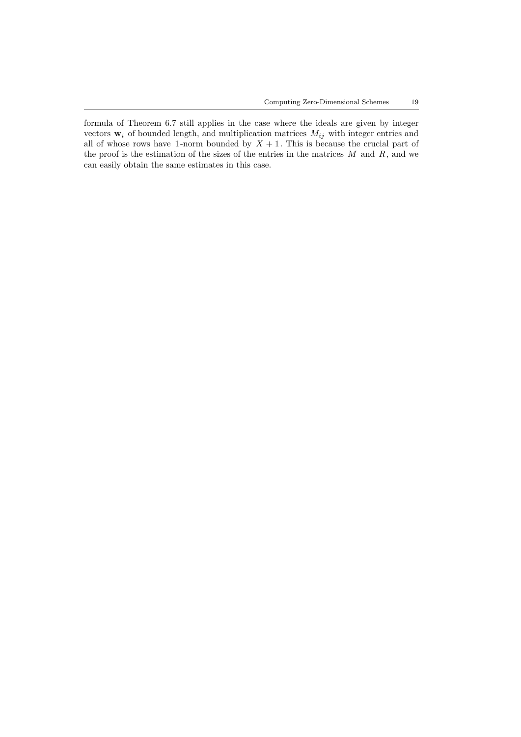formula of Theorem 6.7 still applies in the case where the ideals are given by integer vectors  $\mathbf{w}_i$  of bounded length, and multiplication matrices  $M_{ij}$  with integer entries and all of whose rows have 1-norm bounded by  $X + 1$ . This is because the crucial part of the proof is the estimation of the sizes of the entries in the matrices  $M$  and  $R$ , and we can easily obtain the same estimates in this case.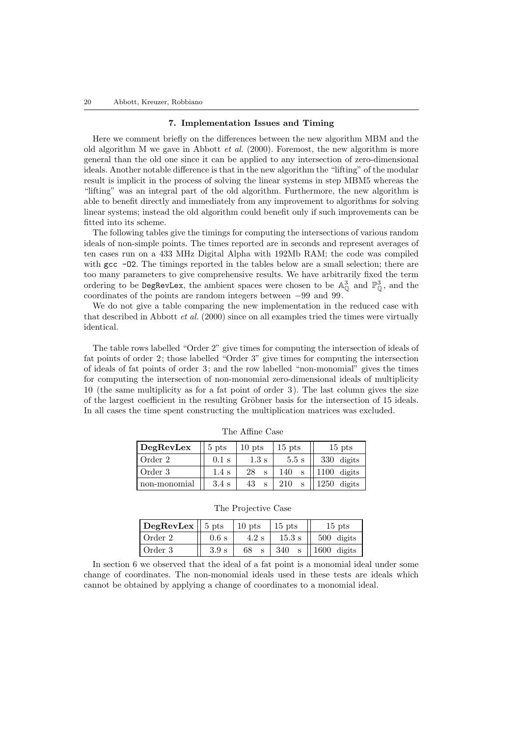#### 7. Implementation Issues and Timing

Here we comment briefly on the differences between the new algorithm MBM and the old algorithm M we gave in Abbott et al. (2000). Foremost, the new algorithm is more general than the old one since it can be applied to any intersection of zero-dimensional ideals. Another notable difference is that in the new algorithm the "lifting" of the modular result is implicit in the process of solving the linear systems in step MBM5 whereas the "lifting" was an integral part of the old algorithm. Furthermore, the new algorithm is able to benefit directly and immediately from any improvement to algorithms for solving linear systems; instead the old algorithm could benefit only if such improvements can be fitted into its scheme.

The following tables give the timings for computing the intersections of various random ideals of non-simple points. The times reported are in seconds and represent averages of ten cases run on a 433 MHz Digital Alpha with 192Mb RAM; the code was compiled with gcc  $-02$ . The timings reported in the tables below are a small selection; there are too many parameters to give comprehensive results. We have arbitrarily fixed the term ordering to be DegRevLex, the ambient spaces were chosen to be  $\mathbb{A}^3_0$  and  $\mathbb{P}^3_0$ , and the coordinates of the points are random integers between −99 and 99.

We do not give a table comparing the new implementation in the reduced case with that described in Abbott *et al.* (2000) since on all examples tried the times were virtually identical.

The table rows labelled "Order 2" give times for computing the intersection of ideals of fat points of order 2; those labelled "Order 3" give times for computing the intersection of ideals of fat points of order 3; and the row labelled "non-monomial" gives the times for computing the intersection of non-monomial zero-dimensional ideals of multiplicity 10 (the same multiplicity as for a fat point of order 3 ). The last column gives the size of the largest coefficient in the resulting Gröbner basis for the intersection of 15 ideals. In all cases the time spent constructing the multiplication matrices was excluded.

| $\log$ RevLex | $5$ pts          | $10$ pts          | $15$ pts | $15$ pts       |
|---------------|------------------|-------------------|----------|----------------|
| Order 2       | $0.1$ s          | $1.3 \mathrm{s}$  | 5.5 s    | 330 digits     |
| Order 3       | $1.4~\mathrm{s}$ | 28<br>$\mathbf s$ | 140<br>S | $1100$ digits  |
| non-monomial  | $3.4~\mathrm{s}$ | 43<br>S           | 210<br>c | 1250<br>digits |

The Affine Case

The Projective Case

| $ \text{DegRevLex} $ 5 pts |         | $10$ pts      | $15$ pts          | $15$ pts      |
|----------------------------|---------|---------------|-------------------|---------------|
| l Order 2                  | $0.6$ s | $4.2~{\rm s}$ | $15.3 \mathrm{s}$ | $500$ digits  |
| l Order 3                  | 3.9 s   | 68            | 340               | $1600$ digits |

In section 6 we observed that the ideal of a fat point is a monomial ideal under some change of coordinates. The non-monomial ideals used in these tests are ideals which cannot be obtained by applying a change of coordinates to a monomial ideal.